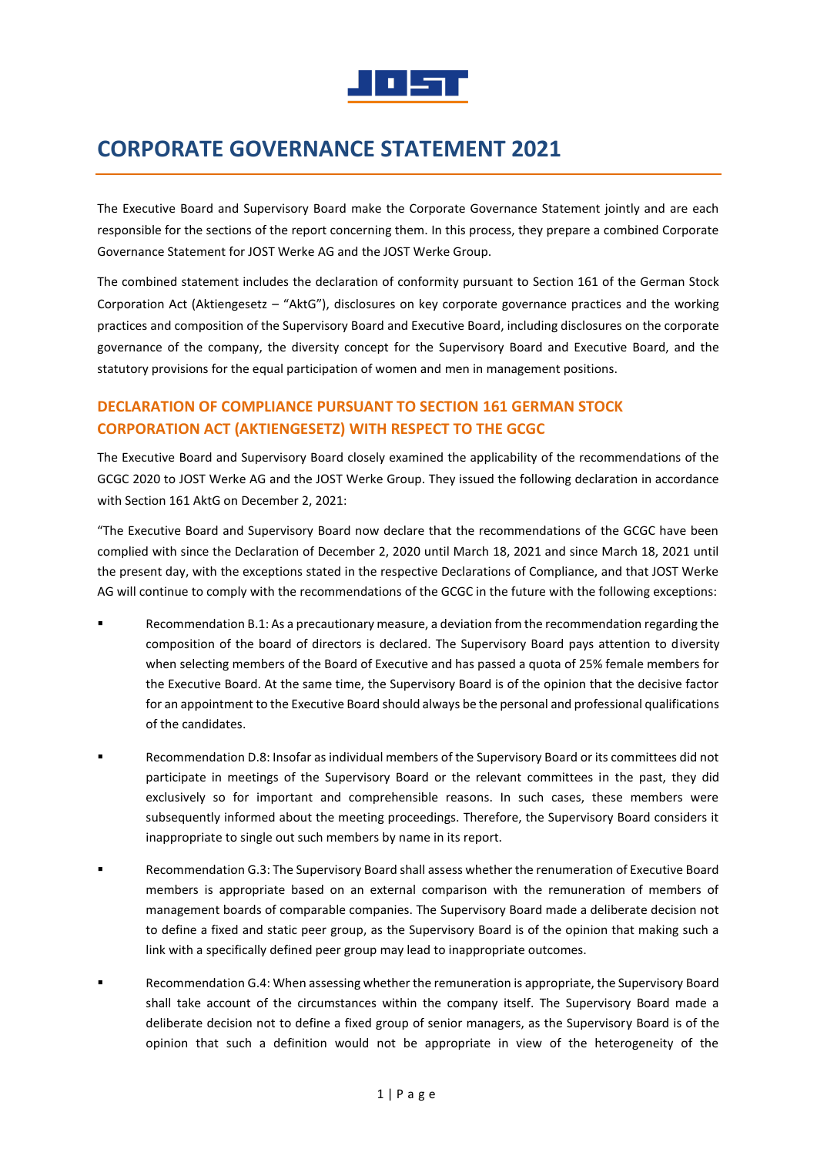

# **CORPORATE GOVERNANCE STATEMENT 2021**

The Executive Board and Supervisory Board make the Corporate Governance Statement jointly and are each responsible for the sections of the report concerning them. In this process, they prepare a combined Corporate Governance Statement for JOST Werke AG and the JOST Werke Group.

The combined statement includes the declaration of conformity pursuant to Section 161 of the German Stock Corporation Act (Aktiengesetz – "AktG"), disclosures on key corporate governance practices and the working practices and composition of the Supervisory Board and Executive Board, including disclosures on the corporate governance of the company, the diversity concept for the Supervisory Board and Executive Board, and the statutory provisions for the equal participation of women and men in management positions.

# **DECLARATION OF COMPLIANCE PURSUANT TO SECTION 161 GERMAN STOCK CORPORATION ACT (AKTIENGESETZ) WITH RESPECT TO THE GCGC**

The Executive Board and Supervisory Board closely examined the applicability of the recommendations of the GCGC 2020 to JOST Werke AG and the JOST Werke Group. They issued the following declaration in accordance with Section 161 AktG on December 2, 2021:

"The Executive Board and Supervisory Board now declare that the recommendations of the GCGC have been complied with since the Declaration of December 2, 2020 until March 18, 2021 and since March 18, 2021 until the present day, with the exceptions stated in the respective Declarations of Compliance, and that JOST Werke AG will continue to comply with the recommendations of the GCGC in the future with the following exceptions:

- Recommendation B.1: As a precautionary measure, a deviation from the recommendation regarding the composition of the board of directors is declared. The Supervisory Board pays attention to diversity when selecting members of the Board of Executive and has passed a quota of 25% female members for the Executive Board. At the same time, the Supervisory Board is of the opinion that the decisive factor for an appointment to the Executive Board should always be the personal and professional qualifications of the candidates.
- Recommendation D.8: Insofar as individual members of the Supervisory Board or its committees did not participate in meetings of the Supervisory Board or the relevant committees in the past, they did exclusively so for important and comprehensible reasons. In such cases, these members were subsequently informed about the meeting proceedings. Therefore, the Supervisory Board considers it inappropriate to single out such members by name in its report.
- Recommendation G.3: The Supervisory Board shall assess whether the renumeration of Executive Board members is appropriate based on an external comparison with the remuneration of members of management boards of comparable companies. The Supervisory Board made a deliberate decision not to define a fixed and static peer group, as the Supervisory Board is of the opinion that making such a link with a specifically defined peer group may lead to inappropriate outcomes.
- Recommendation G.4: When assessing whether the remuneration is appropriate, the Supervisory Board shall take account of the circumstances within the company itself. The Supervisory Board made a deliberate decision not to define a fixed group of senior managers, as the Supervisory Board is of the opinion that such a definition would not be appropriate in view of the heterogeneity of the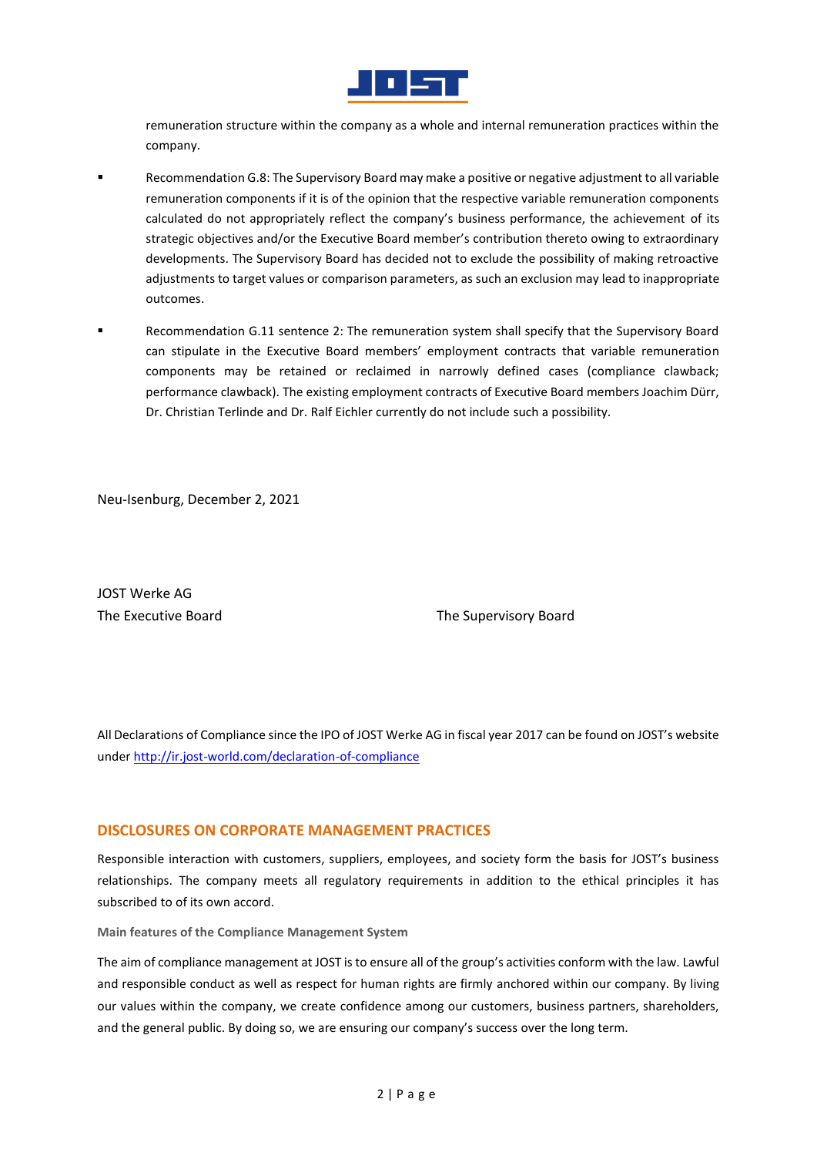

remuneration structure within the company as a whole and internal remuneration practices within the company.

- Recommendation G.8: The Supervisory Board may make a positive or negative adjustment to all variable remuneration components if it is of the opinion that the respective variable remuneration components calculated do not appropriately reflect the company's business performance, the achievement of its strategic objectives and/or the Executive Board member's contribution thereto owing to extraordinary developments. The Supervisory Board has decided not to exclude the possibility of making retroactive adjustments to target values or comparison parameters, as such an exclusion may lead to inappropriate outcomes.
- Recommendation G.11 sentence 2: The remuneration system shall specify that the Supervisory Board can stipulate in the Executive Board members' employment contracts that variable remuneration components may be retained or reclaimed in narrowly defined cases (compliance clawback; performance clawback). The existing employment contracts of Executive Board members Joachim Dürr, Dr. Christian Terlinde and Dr. Ralf Eichler currently do not include such a possibility.

Neu-Isenburg, December 2, 2021

JOST Werke AG

The Executive Board The Supervisory Board

All Declarations of Compliance since the IPO of JOST Werke AG in fiscal year 2017 can be found on JOST's website unde[r http://ir.jost-world.com/declaration-of-compliance](http://ir.jost-world.com/declaration-of-compliance)

### **DISCLOSURES ON CORPORATE MANAGEMENT PRACTICES**

Responsible interaction with customers, suppliers, employees, and society form the basis for JOST's business relationships. The company meets all regulatory requirements in addition to the ethical principles it has subscribed to of its own accord.

**Main features of the Compliance Management System**

The aim of compliance management at JOST is to ensure all of the group's activities conform with the law. Lawful and responsible conduct as well as respect for human rights are firmly anchored within our company. By living our values within the company, we create confidence among our customers, business partners, shareholders, and the general public. By doing so, we are ensuring our company's success over the long term.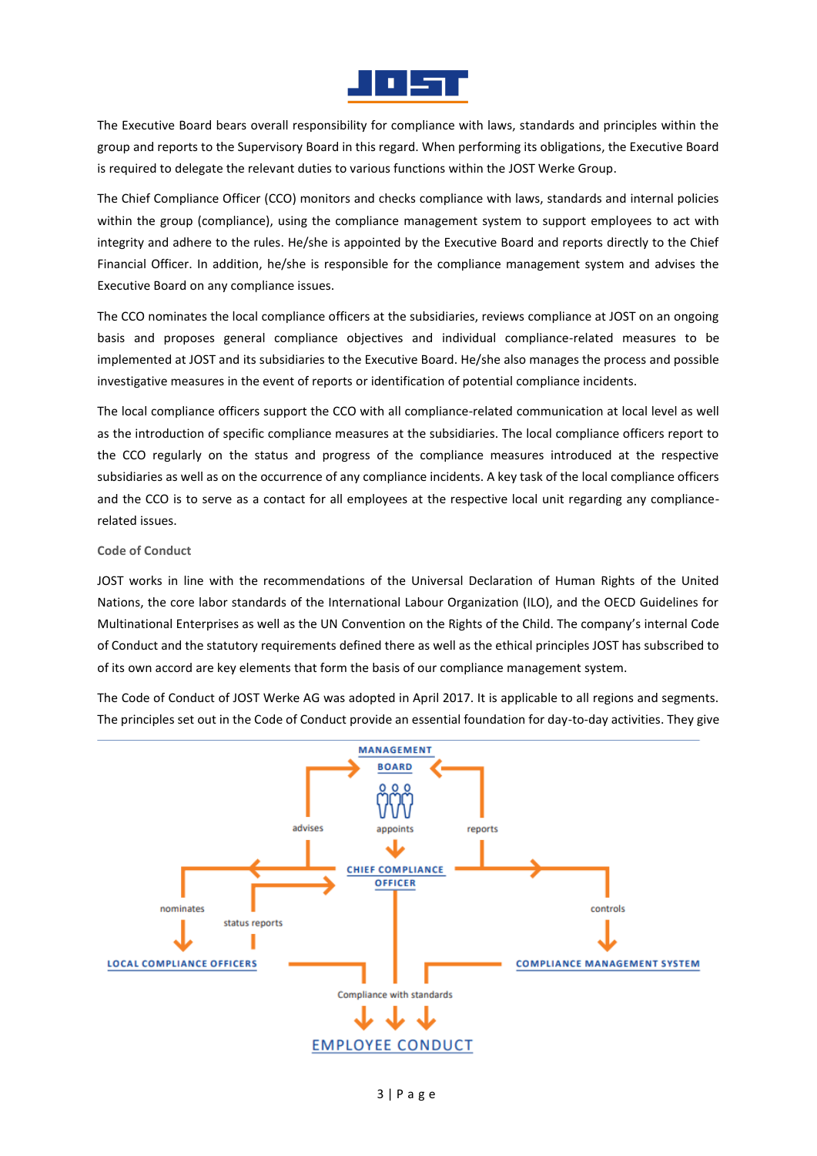

The Executive Board bears overall responsibility for compliance with laws, standards and principles within the group and reports to the Supervisory Board in this regard. When performing its obligations, the Executive Board is required to delegate the relevant duties to various functions within the JOST Werke Group.

The Chief Compliance Officer (CCO) monitors and checks compliance with laws, standards and internal policies within the group (compliance), using the compliance management system to support employees to act with integrity and adhere to the rules. He/she is appointed by the Executive Board and reports directly to the Chief Financial Officer. In addition, he/she is responsible for the compliance management system and advises the Executive Board on any compliance issues.

The CCO nominates the local compliance officers at the subsidiaries, reviews compliance at JOST on an ongoing basis and proposes general compliance objectives and individual compliance-related measures to be implemented at JOST and its subsidiaries to the Executive Board. He/she also manages the process and possible investigative measures in the event of reports or identification of potential compliance incidents.

The local compliance officers support the CCO with all compliance-related communication at local level as well as the introduction of specific compliance measures at the subsidiaries. The local compliance officers report to the CCO regularly on the status and progress of the compliance measures introduced at the respective subsidiaries as well as on the occurrence of any compliance incidents. A key task of the local compliance officers and the CCO is to serve as a contact for all employees at the respective local unit regarding any compliancerelated issues.

### **Code of Conduct**

JOST works in line with the recommendations of the Universal Declaration of Human Rights of the United Nations, the core labor standards of the International Labour Organization (ILO), and the OECD Guidelines for Multinational Enterprises as well as the UN Convention on the Rights of the Child. The company's internal Code of Conduct and the statutory requirements defined there as well as the ethical principles JOST has subscribed to of its own accord are key elements that form the basis of our compliance management system.

The Code of Conduct of JOST Werke AG was adopted in April 2017. It is applicable to all regions and segments. The principles set out in the Code of Conduct provide an essential foundation for day-to-day activities. They give

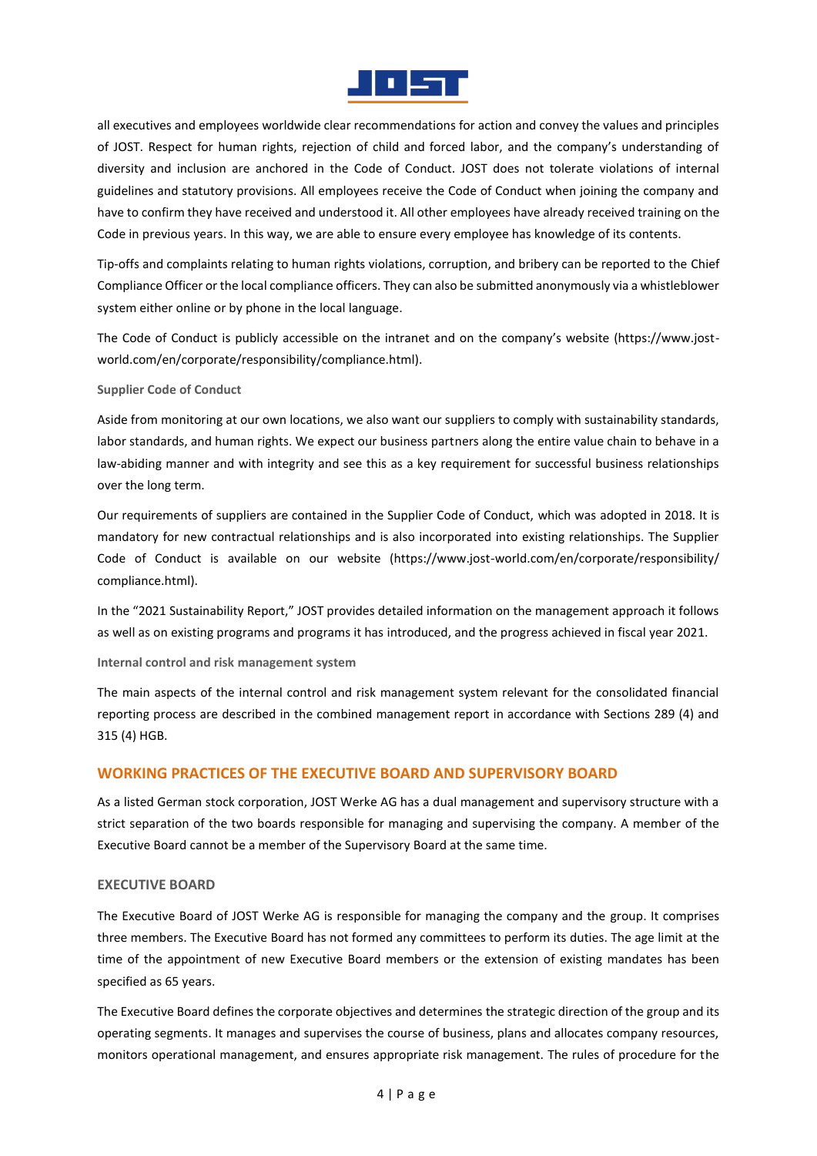

all executives and employees worldwide clear recommendations for action and convey the values and principles of JOST. Respect for human rights, rejection of child and forced labor, and the company's understanding of diversity and inclusion are anchored in the Code of Conduct. JOST does not tolerate violations of internal guidelines and statutory provisions. All employees receive the Code of Conduct when joining the company and have to confirm they have received and understood it. All other employees have already received training on the Code in previous years. In this way, we are able to ensure every employee has knowledge of its contents.

Tip-offs and complaints relating to human rights violations, corruption, and bribery can be reported to the Chief Compliance Officer or the local compliance officers. They can also be submitted anonymously via a whistleblower system either online or by phone in the local language.

The Code of Conduct is publicly accessible on the intranet and on the company's website (https://www.jostworld.com/en/corporate/responsibility/compliance.html).

#### **Supplier Code of Conduct**

Aside from monitoring at our own locations, we also want our suppliers to comply with sustainability standards, labor standards, and human rights. We expect our business partners along the entire value chain to behave in a law-abiding manner and with integrity and see this as a key requirement for successful business relationships over the long term.

Our requirements of suppliers are contained in the Supplier Code of Conduct, which was adopted in 2018. It is mandatory for new contractual relationships and is also incorporated into existing relationships. The Supplier Code of Conduct is available on our website (https://www.jost-world.com/en/corporate/responsibility/ compliance.html).

In the "2021 Sustainability Report," JOST provides detailed information on the management approach it follows as well as on existing programs and programs it has introduced, and the progress achieved in fiscal year 2021.

### **Internal control and risk management system**

The main aspects of the internal control and risk management system relevant for the consolidated financial reporting process are described in the combined management report in accordance with Sections 289 (4) and 315 (4) HGB.

# **WORKING PRACTICES OF THE EXECUTIVE BOARD AND SUPERVISORY BOARD**

As a listed German stock corporation, JOST Werke AG has a dual management and supervisory structure with a strict separation of the two boards responsible for managing and supervising the company. A member of the Executive Board cannot be a member of the Supervisory Board at the same time.

### **EXECUTIVE BOARD**

The Executive Board of JOST Werke AG is responsible for managing the company and the group. It comprises three members. The Executive Board has not formed any committees to perform its duties. The age limit at the time of the appointment of new Executive Board members or the extension of existing mandates has been specified as 65 years.

The Executive Board defines the corporate objectives and determines the strategic direction of the group and its operating segments. It manages and supervises the course of business, plans and allocates company resources, monitors operational management, and ensures appropriate risk management. The rules of procedure for the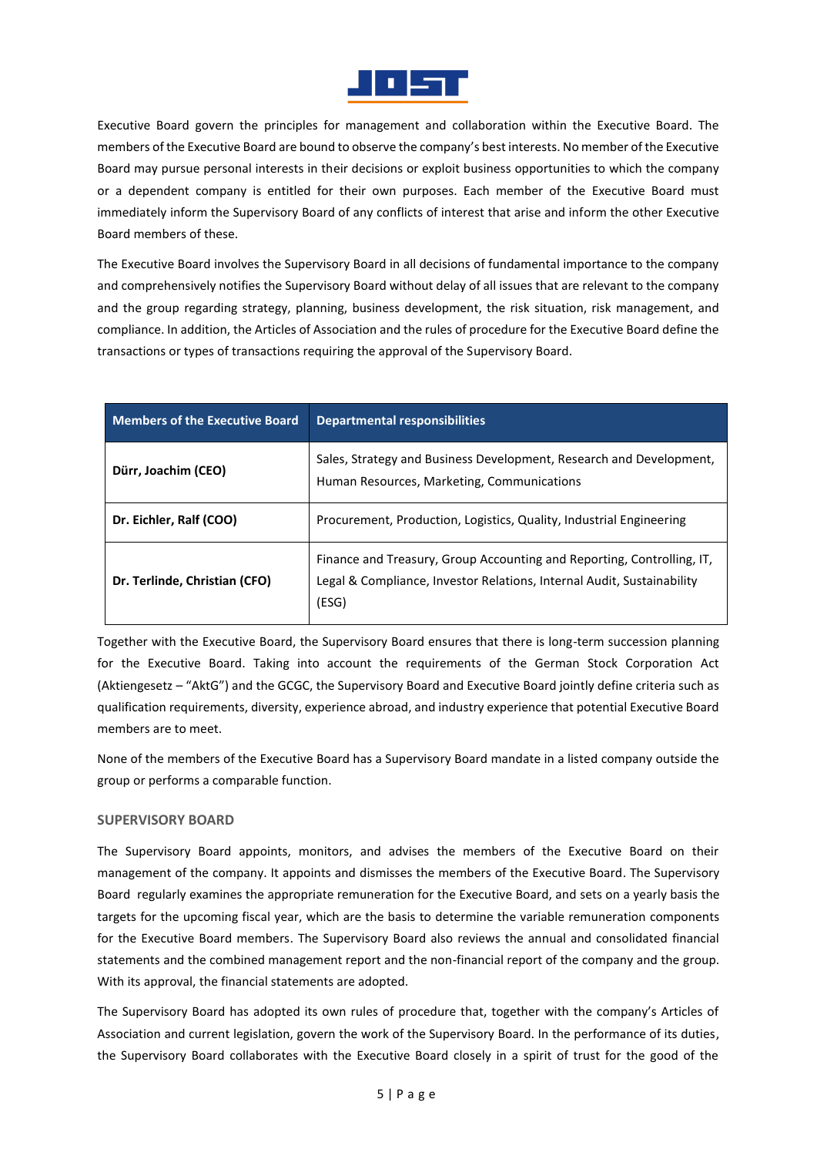

Executive Board govern the principles for management and collaboration within the Executive Board. The members of the Executive Board are bound to observe the company's best interests. No member of the Executive Board may pursue personal interests in their decisions or exploit business opportunities to which the company or a dependent company is entitled for their own purposes. Each member of the Executive Board must immediately inform the Supervisory Board of any conflicts of interest that arise and inform the other Executive Board members of these.

The Executive Board involves the Supervisory Board in all decisions of fundamental importance to the company and comprehensively notifies the Supervisory Board without delay of all issues that are relevant to the company and the group regarding strategy, planning, business development, the risk situation, risk management, and compliance. In addition, the Articles of Association and the rules of procedure for the Executive Board define the transactions or types of transactions requiring the approval of the Supervisory Board.

| <b>Members of the Executive Board</b> | <b>Departmental responsibilities</b>                                                                                                                      |
|---------------------------------------|-----------------------------------------------------------------------------------------------------------------------------------------------------------|
| Dürr, Joachim (CEO)                   | Sales, Strategy and Business Development, Research and Development,<br>Human Resources, Marketing, Communications                                         |
| Dr. Eichler, Ralf (COO)               | Procurement, Production, Logistics, Quality, Industrial Engineering                                                                                       |
| Dr. Terlinde, Christian (CFO)         | Finance and Treasury, Group Accounting and Reporting, Controlling, IT.<br>Legal & Compliance, Investor Relations, Internal Audit, Sustainability<br>(ESG) |

Together with the Executive Board, the Supervisory Board ensures that there is long-term succession planning for the Executive Board. Taking into account the requirements of the German Stock Corporation Act (Aktiengesetz – "AktG") and the GCGC, the Supervisory Board and Executive Board jointly define criteria such as qualification requirements, diversity, experience abroad, and industry experience that potential Executive Board members are to meet.

None of the members of the Executive Board has a Supervisory Board mandate in a listed company outside the group or performs a comparable function.

# **SUPERVISORY BOARD**

The Supervisory Board appoints, monitors, and advises the members of the Executive Board on their management of the company. It appoints and dismisses the members of the Executive Board. The Supervisory Board regularly examines the appropriate remuneration for the Executive Board, and sets on a yearly basis the targets for the upcoming fiscal year, which are the basis to determine the variable remuneration components for the Executive Board members. The Supervisory Board also reviews the annual and consolidated financial statements and the combined management report and the non-financial report of the company and the group. With its approval, the financial statements are adopted.

The Supervisory Board has adopted its own rules of procedure that, together with the company's Articles of Association and current legislation, govern the work of the Supervisory Board. In the performance of its duties, the Supervisory Board collaborates with the Executive Board closely in a spirit of trust for the good of the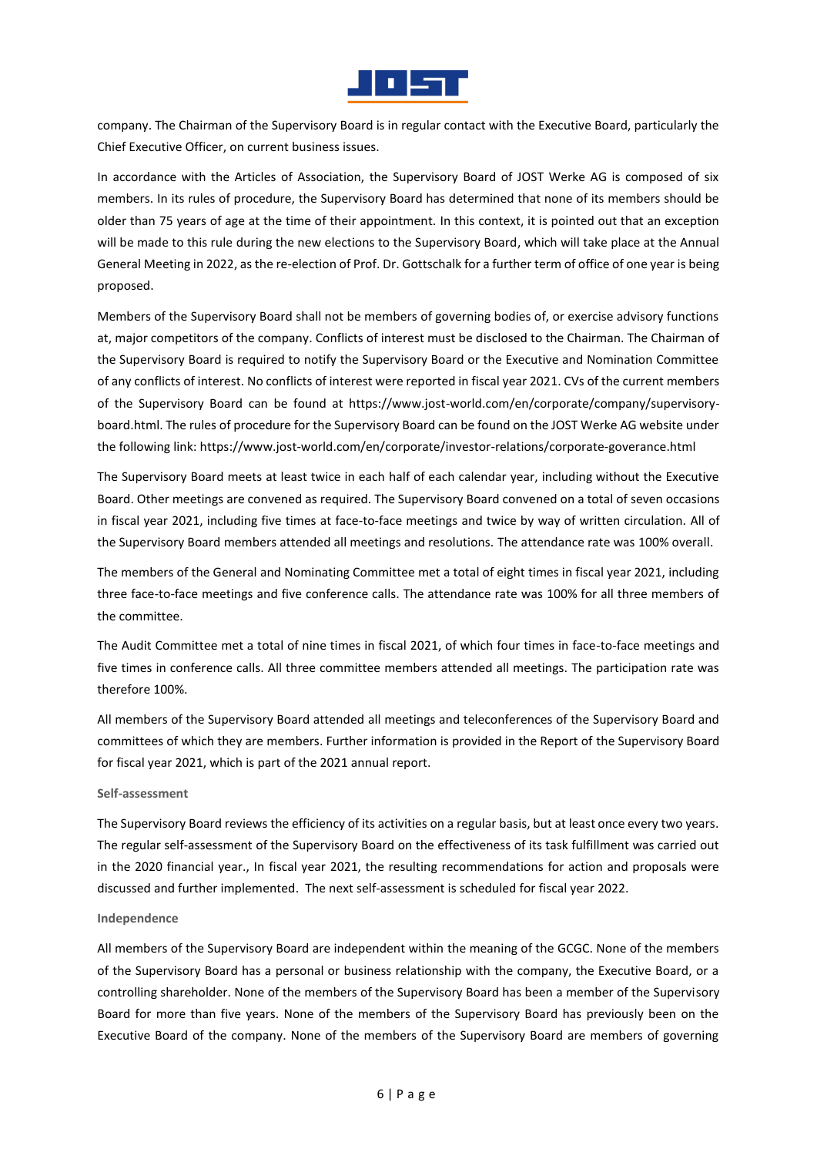

company. The Chairman of the Supervisory Board is in regular contact with the Executive Board, particularly the Chief Executive Officer, on current business issues.

In accordance with the Articles of Association, the Supervisory Board of JOST Werke AG is composed of six members. In its rules of procedure, the Supervisory Board has determined that none of its members should be older than 75 years of age at the time of their appointment. In this context, it is pointed out that an exception will be made to this rule during the new elections to the Supervisory Board, which will take place at the Annual General Meeting in 2022, as the re-election of Prof. Dr. Gottschalk for a further term of office of one year is being proposed.

Members of the Supervisory Board shall not be members of governing bodies of, or exercise advisory functions at, major competitors of the company. Conflicts of interest must be disclosed to the Chairman. The Chairman of the Supervisory Board is required to notify the Supervisory Board or the Executive and Nomination Committee of any conflicts of interest. No conflicts of interest were reported in fiscal year 2021. CVs of the current members of the Supervisory Board can be found at https://www.jost-world.com/en/corporate/company/supervisoryboard.html. The rules of procedure for the Supervisory Board can be found on the JOST Werke AG website under the following link: https://www.jost-world.com/en/corporate/investor-relations/corporate-goverance.html

The Supervisory Board meets at least twice in each half of each calendar year, including without the Executive Board. Other meetings are convened as required. The Supervisory Board convened on a total of seven occasions in fiscal year 2021, including five times at face-to-face meetings and twice by way of written circulation. All of the Supervisory Board members attended all meetings and resolutions. The attendance rate was 100% overall.

The members of the General and Nominating Committee met a total of eight times in fiscal year 2021, including three face-to-face meetings and five conference calls. The attendance rate was 100% for all three members of the committee.

The Audit Committee met a total of nine times in fiscal 2021, of which four times in face-to-face meetings and five times in conference calls. All three committee members attended all meetings. The participation rate was therefore 100%.

All members of the Supervisory Board attended all meetings and teleconferences of the Supervisory Board and committees of which they are members. Further information is provided in the Report of the Supervisory Board for fiscal year 2021, which is part of the 2021 annual report.

#### **Self-assessment**

The Supervisory Board reviews the efficiency of its activities on a regular basis, but at least once every two years. The regular self-assessment of the Supervisory Board on the effectiveness of its task fulfillment was carried out in the 2020 financial year., In fiscal year 2021, the resulting recommendations for action and proposals were discussed and further implemented. The next self-assessment is scheduled for fiscal year 2022.

#### **Independence**

All members of the Supervisory Board are independent within the meaning of the GCGC. None of the members of the Supervisory Board has a personal or business relationship with the company, the Executive Board, or a controlling shareholder. None of the members of the Supervisory Board has been a member of the Supervisory Board for more than five years. None of the members of the Supervisory Board has previously been on the Executive Board of the company. None of the members of the Supervisory Board are members of governing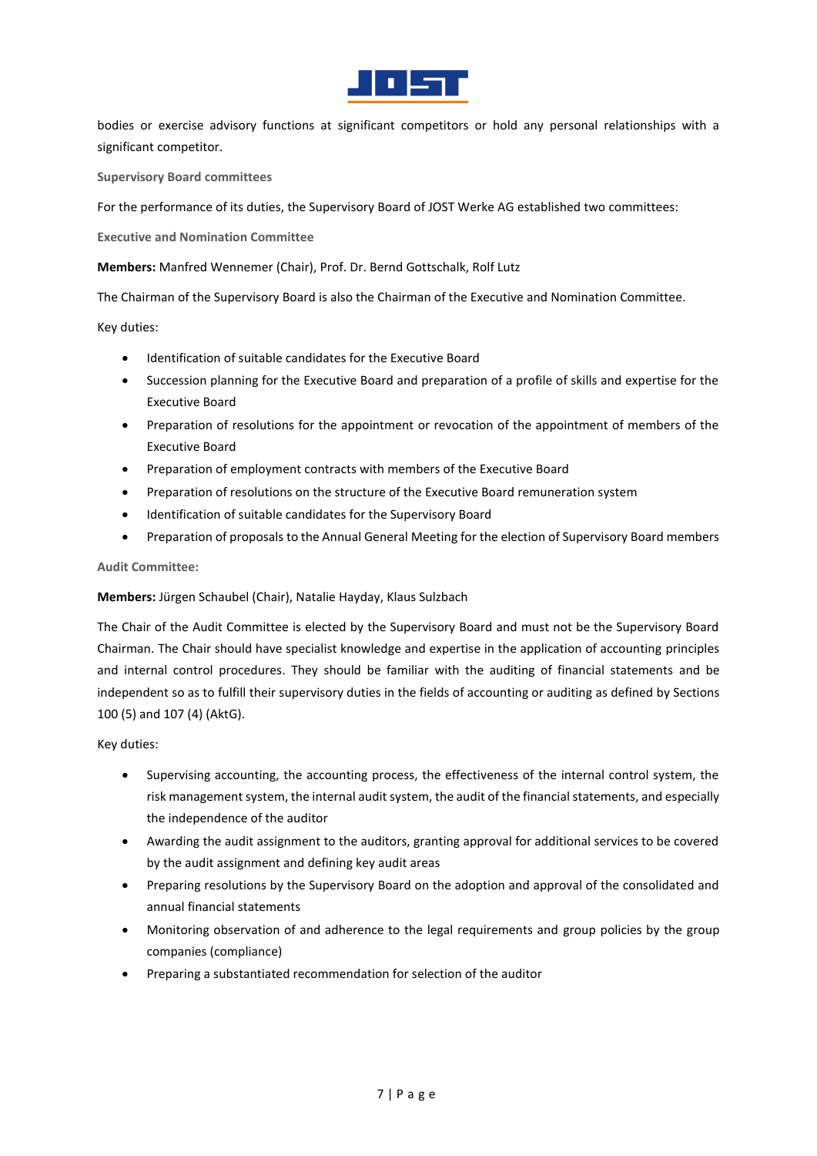

bodies or exercise advisory functions at significant competitors or hold any personal relationships with a significant competitor.

**Supervisory Board committees** 

For the performance of its duties, the Supervisory Board of JOST Werke AG established two committees:

**Executive and Nomination Committee**

**Members:** Manfred Wennemer (Chair), Prof. Dr. Bernd Gottschalk, Rolf Lutz

The Chairman of the Supervisory Board is also the Chairman of the Executive and Nomination Committee.

Key duties:

- Identification of suitable candidates for the Executive Board
- Succession planning for the Executive Board and preparation of a profile of skills and expertise for the Executive Board
- Preparation of resolutions for the appointment or revocation of the appointment of members of the Executive Board
- Preparation of employment contracts with members of the Executive Board
- Preparation of resolutions on the structure of the Executive Board remuneration system
- Identification of suitable candidates for the Supervisory Board
- Preparation of proposals to the Annual General Meeting for the election of Supervisory Board members

### **Audit Committee:**

### **Members:** Jürgen Schaubel (Chair), Natalie Hayday, Klaus Sulzbach

The Chair of the Audit Committee is elected by the Supervisory Board and must not be the Supervisory Board Chairman. The Chair should have specialist knowledge and expertise in the application of accounting principles and internal control procedures. They should be familiar with the auditing of financial statements and be independent so as to fulfill their supervisory duties in the fields of accounting or auditing as defined by Sections 100 (5) and 107 (4) (AktG).

Key duties:

- Supervising accounting, the accounting process, the effectiveness of the internal control system, the risk management system, the internal audit system, the audit of the financial statements, and especially the independence of the auditor
- Awarding the audit assignment to the auditors, granting approval for additional services to be covered by the audit assignment and defining key audit areas
- Preparing resolutions by the Supervisory Board on the adoption and approval of the consolidated and annual financial statements
- Monitoring observation of and adherence to the legal requirements and group policies by the group companies (compliance)
- Preparing a substantiated recommendation for selection of the auditor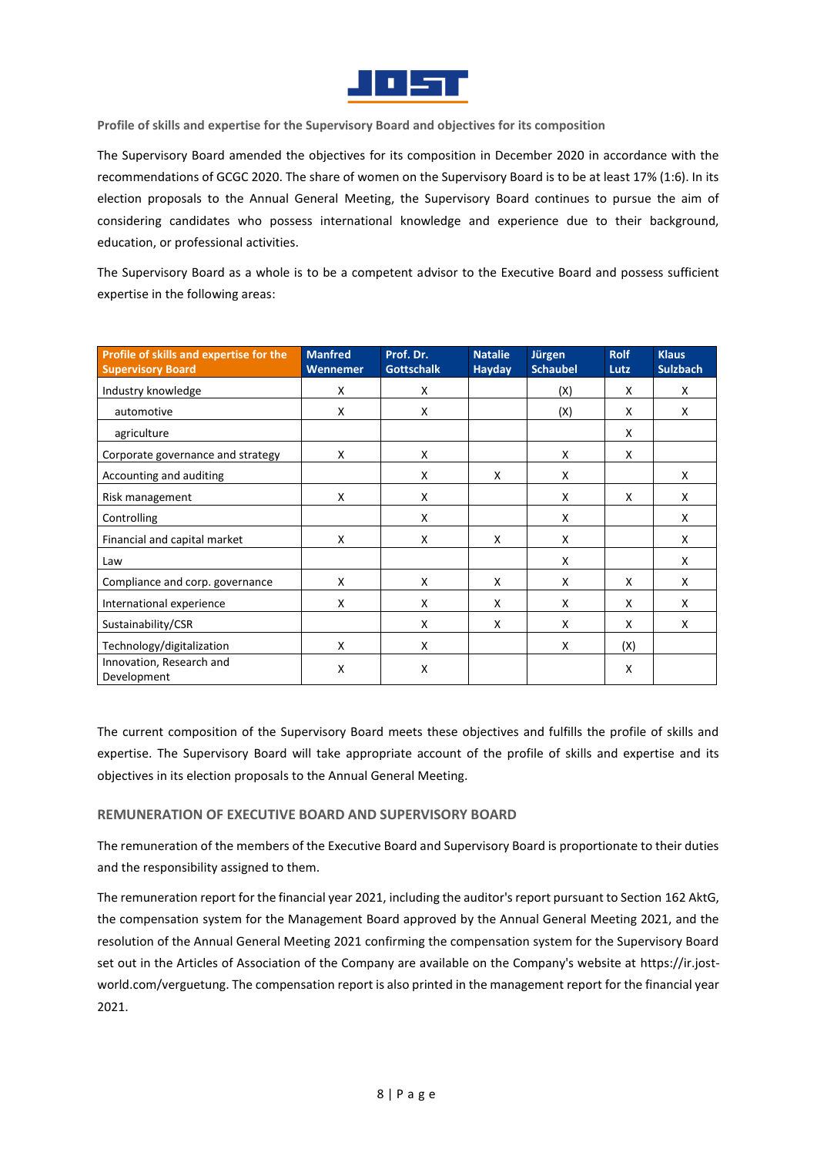

**Profile of skills and expertise for the Supervisory Board and objectives for its composition**

The Supervisory Board amended the objectives for its composition in December 2020 in accordance with the recommendations of GCGC 2020. The share of women on the Supervisory Board is to be at least 17% (1:6). In its election proposals to the Annual General Meeting, the Supervisory Board continues to pursue the aim of considering candidates who possess international knowledge and experience due to their background, education, or professional activities.

The Supervisory Board as a whole is to be a competent advisor to the Executive Board and possess sufficient expertise in the following areas:

| Profile of skills and expertise for the<br><b>Supervisory Board</b> | <b>Manfred</b><br>Wennemer | Prof. Dr.<br><b>Gottschalk</b> | <b>Natalie</b><br><b>Hayday</b> | Jürgen<br><b>Schaubel</b> | <b>Rolf</b><br>Lutz | <b>Klaus</b><br><b>Sulzbach</b> |
|---------------------------------------------------------------------|----------------------------|--------------------------------|---------------------------------|---------------------------|---------------------|---------------------------------|
| Industry knowledge                                                  | X                          | X                              |                                 | (X)                       | X                   | X                               |
| automotive                                                          | X                          | X                              |                                 | (X)                       | X                   | X                               |
| agriculture                                                         |                            |                                |                                 |                           | X                   |                                 |
| Corporate governance and strategy                                   | X                          | X                              |                                 | X                         | X                   |                                 |
| Accounting and auditing                                             |                            | X                              | X                               | X                         |                     | X                               |
| Risk management                                                     | X                          | X                              |                                 | X                         | X                   | X                               |
| Controlling                                                         |                            | X                              |                                 | X                         |                     | X                               |
| Financial and capital market                                        | X                          | X                              | X                               | X                         |                     | X                               |
| Law                                                                 |                            |                                |                                 | X                         |                     | X                               |
| Compliance and corp. governance                                     | X                          | X                              | X                               | X                         | X                   | X                               |
| International experience                                            | X                          | X                              | X                               | X                         | X                   | X                               |
| Sustainability/CSR                                                  |                            | X                              | X                               | X                         | X                   | X                               |
| Technology/digitalization                                           | X                          | X                              |                                 | X                         | (X)                 |                                 |
| Innovation, Research and<br>Development                             | X                          | X                              |                                 |                           | X                   |                                 |

The current composition of the Supervisory Board meets these objectives and fulfills the profile of skills and expertise. The Supervisory Board will take appropriate account of the profile of skills and expertise and its objectives in its election proposals to the Annual General Meeting.

### **REMUNERATION OF EXECUTIVE BOARD AND SUPERVISORY BOARD**

The remuneration of the members of the Executive Board and Supervisory Board is proportionate to their duties and the responsibility assigned to them.

The remuneration report for the financial year 2021, including the auditor's report pursuant to Section 162 AktG, the compensation system for the Management Board approved by the Annual General Meeting 2021, and the resolution of the Annual General Meeting 2021 confirming the compensation system for the Supervisory Board set out in the Articles of Association of the Company are available on the Company's website at [https://ir.jost](https://ir.jost-world.com/verguetung)[world.com/verguetung.](https://ir.jost-world.com/verguetung) The compensation report is also printed in the management report for the financial year 2021.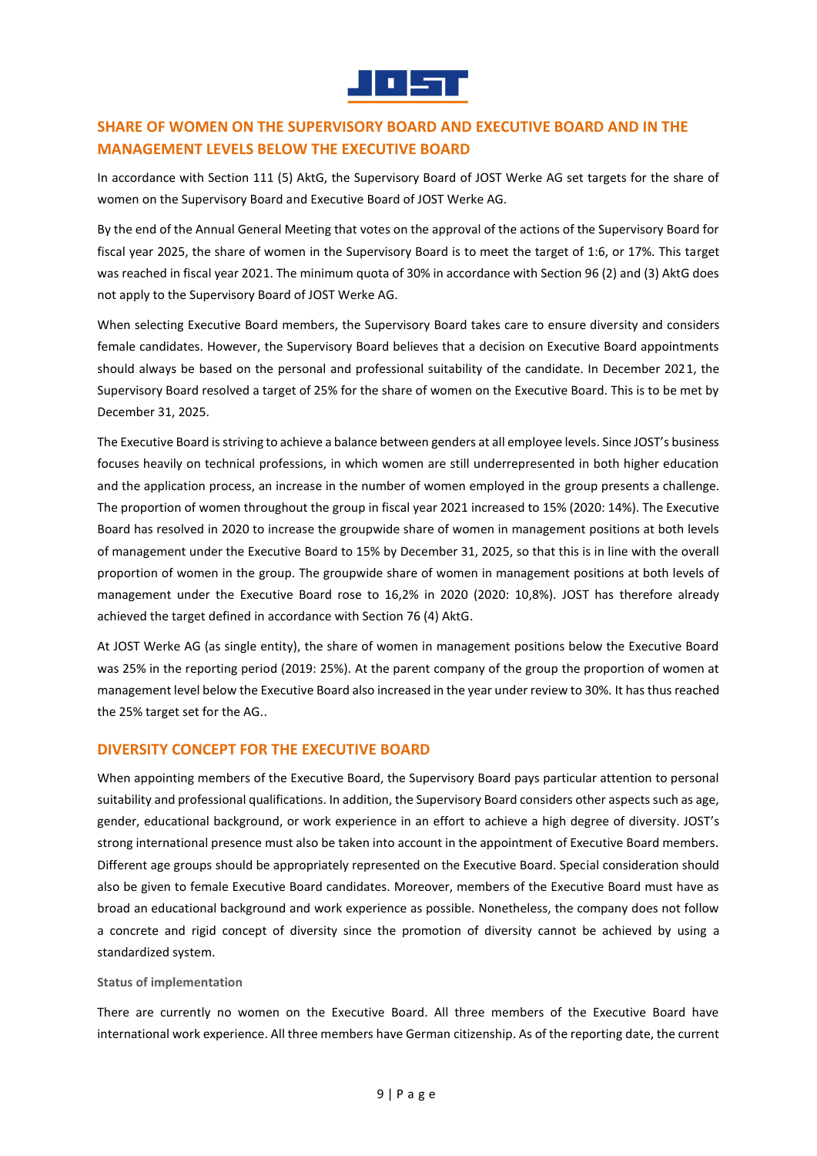

# **SHARE OF WOMEN ON THE SUPERVISORY BOARD AND EXECUTIVE BOARD AND IN THE MANAGEMENT LEVELS BELOW THE EXECUTIVE BOARD**

In accordance with Section 111 (5) AktG, the Supervisory Board of JOST Werke AG set targets for the share of women on the Supervisory Board and Executive Board of JOST Werke AG.

By the end of the Annual General Meeting that votes on the approval of the actions of the Supervisory Board for fiscal year 2025, the share of women in the Supervisory Board is to meet the target of 1:6, or 17%. This target was reached in fiscal year 2021. The minimum quota of 30% in accordance with Section 96 (2) and (3) AktG does not apply to the Supervisory Board of JOST Werke AG.

When selecting Executive Board members, the Supervisory Board takes care to ensure diversity and considers female candidates. However, the Supervisory Board believes that a decision on Executive Board appointments should always be based on the personal and professional suitability of the candidate. In December 2021, the Supervisory Board resolved a target of 25% for the share of women on the Executive Board. This is to be met by December 31, 2025.

The Executive Board is striving to achieve a balance between genders at all employee levels. Since JOST's business focuses heavily on technical professions, in which women are still underrepresented in both higher education and the application process, an increase in the number of women employed in the group presents a challenge. The proportion of women throughout the group in fiscal year 2021 increased to 15% (2020: 14%). The Executive Board has resolved in 2020 to increase the groupwide share of women in management positions at both levels of management under the Executive Board to 15% by December 31, 2025, so that this is in line with the overall proportion of women in the group. The groupwide share of women in management positions at both levels of management under the Executive Board rose to 16,2% in 2020 (2020: 10,8%). JOST has therefore already achieved the target defined in accordance with Section 76 (4) AktG.

At JOST Werke AG (as single entity), the share of women in management positions below the Executive Board was 25% in the reporting period (2019: 25%). At the parent company of the group the proportion of women at management level below the Executive Board also increased in the year under review to 30%. It has thus reached the 25% target set for the AG..

# **DIVERSITY CONCEPT FOR THE EXECUTIVE BOARD**

When appointing members of the Executive Board, the Supervisory Board pays particular attention to personal suitability and professional qualifications. In addition, the Supervisory Board considers other aspects such as age, gender, educational background, or work experience in an effort to achieve a high degree of diversity. JOST's strong international presence must also be taken into account in the appointment of Executive Board members. Different age groups should be appropriately represented on the Executive Board. Special consideration should also be given to female Executive Board candidates. Moreover, members of the Executive Board must have as broad an educational background and work experience as possible. Nonetheless, the company does not follow a concrete and rigid concept of diversity since the promotion of diversity cannot be achieved by using a standardized system.

#### **Status of implementation**

There are currently no women on the Executive Board. All three members of the Executive Board have international work experience. All three members have German citizenship. As of the reporting date, the current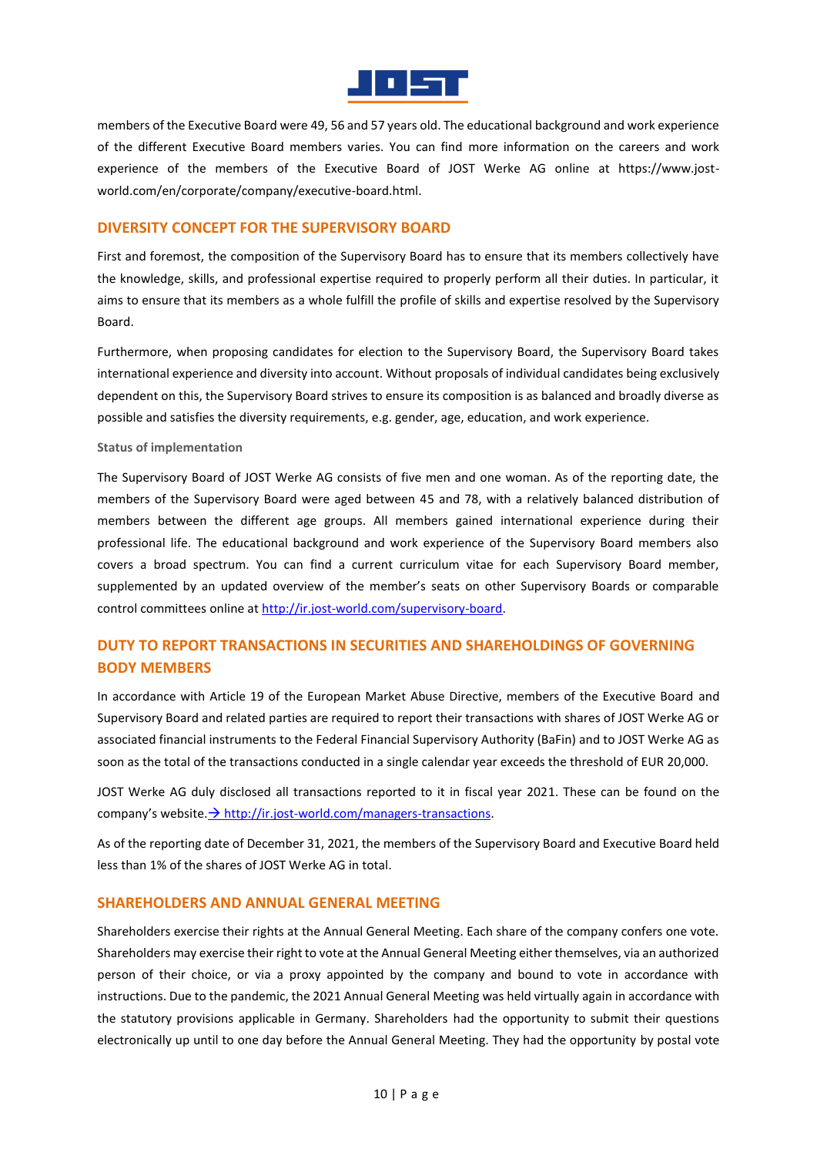

members of the Executive Board were 49, 56 and 57 years old. The educational background and work experience of the different Executive Board members varies. You can find more information on the careers and work experience of the members of the Executive Board of JOST Werke AG online at https://www.jostworld.com/en/corporate/company/executive-board.html.

### **DIVERSITY CONCEPT FOR THE SUPERVISORY BOARD**

First and foremost, the composition of the Supervisory Board has to ensure that its members collectively have the knowledge, skills, and professional expertise required to properly perform all their duties. In particular, it aims to ensure that its members as a whole fulfill the profile of skills and expertise resolved by the Supervisory Board.

Furthermore, when proposing candidates for election to the Supervisory Board, the Supervisory Board takes international experience and diversity into account. Without proposals of individual candidates being exclusively dependent on this, the Supervisory Board strives to ensure its composition is as balanced and broadly diverse as possible and satisfies the diversity requirements, e.g. gender, age, education, and work experience.

#### **Status of implementation**

The Supervisory Board of JOST Werke AG consists of five men and one woman. As of the reporting date, the members of the Supervisory Board were aged between 45 and 78, with a relatively balanced distribution of members between the different age groups. All members gained international experience during their professional life. The educational background and work experience of the Supervisory Board members also covers a broad spectrum. You can find a current curriculum vitae for each Supervisory Board member, supplemented by an updated overview of the member's seats on other Supervisory Boards or comparable control committees online at [http://ir.jost-world.com/supervisory-board.](http://ir.jost-world.com/supervisory-board)

# **DUTY TO REPORT TRANSACTIONS IN SECURITIES AND SHAREHOLDINGS OF GOVERNING BODY MEMBERS**

In accordance with Article 19 of the European Market Abuse Directive, members of the Executive Board and Supervisory Board and related parties are required to report their transactions with shares of JOST Werke AG or associated financial instruments to the Federal Financial Supervisory Authority (BaFin) and to JOST Werke AG as soon as the total of the transactions conducted in a single calendar year exceeds the threshold of EUR 20,000.

JOST Werke AG duly disclosed all transactions reported to it in fiscal year 2021. These can be found on the company's website. $\frac{\partial h}{\partial r}$  [http://ir.jost-world.com/managers-transactions.](http://ir.jost-world.com/managers-transactions)

As of the reporting date of December 31, 2021, the members of the Supervisory Board and Executive Board held less than 1% of the shares of JOST Werke AG in total.

### **SHAREHOLDERS AND ANNUAL GENERAL MEETING**

Shareholders exercise their rights at the Annual General Meeting. Each share of the company confers one vote. Shareholders may exercise their right to vote at the Annual General Meeting either themselves, via an authorized person of their choice, or via a proxy appointed by the company and bound to vote in accordance with instructions. Due to the pandemic, the 2021 Annual General Meeting was held virtually again in accordance with the statutory provisions applicable in Germany. Shareholders had the opportunity to submit their questions electronically up until to one day before the Annual General Meeting. They had the opportunity by postal vote